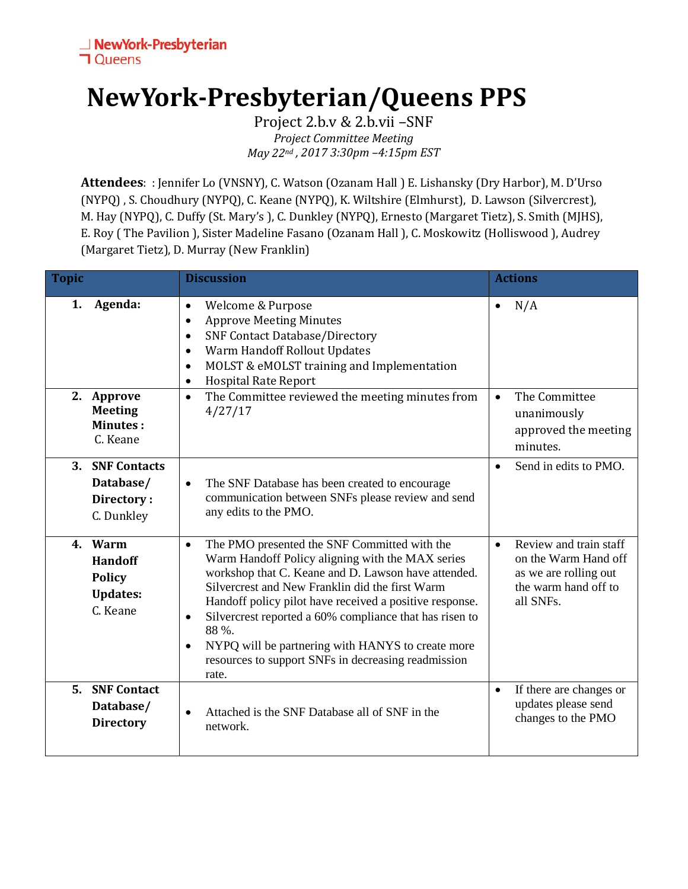## **NewYork-Presbyterian/Queens PPS**

Project 2.b.v & 2.b.vii –SNF *Project Committee Meeting May 22nd , 2017 3:30pm –4:15pm EST*

**Attendees**: : Jennifer Lo (VNSNY), C. Watson (Ozanam Hall ) E. Lishansky (Dry Harbor), M. D'Urso (NYPQ) , S. Choudhury (NYPQ), C. Keane (NYPQ), K. Wiltshire (Elmhurst), D. Lawson (Silvercrest), M. Hay (NYPQ), C. Duffy (St. Mary's ), C. Dunkley (NYPQ), Ernesto (Margaret Tietz), S. Smith (MJHS), E. Roy ( The Pavilion ), Sister Madeline Fasano (Ozanam Hall ), C. Moskowitz (Holliswood ), Audrey (Margaret Tietz), D. Murray (New Franklin)

| <b>Topic</b> |                                                                           | <b>Discussion</b>                                                                                                                                                                                                                                                                                                                                                                                                                                                                                     | <b>Actions</b>                                                                                                            |
|--------------|---------------------------------------------------------------------------|-------------------------------------------------------------------------------------------------------------------------------------------------------------------------------------------------------------------------------------------------------------------------------------------------------------------------------------------------------------------------------------------------------------------------------------------------------------------------------------------------------|---------------------------------------------------------------------------------------------------------------------------|
| 1.           | Agenda:                                                                   | Welcome & Purpose<br>$\bullet$<br><b>Approve Meeting Minutes</b><br>$\bullet$<br><b>SNF Contact Database/Directory</b><br>$\bullet$<br>Warm Handoff Rollout Updates<br>$\bullet$<br>MOLST & eMOLST training and Implementation<br>$\bullet$<br><b>Hospital Rate Report</b><br>$\bullet$                                                                                                                                                                                                               | N/A<br>$\bullet$                                                                                                          |
|              | 2. Approve<br><b>Meeting</b><br><b>Minutes:</b><br>C. Keane               | The Committee reviewed the meeting minutes from<br>$\bullet$<br>4/27/17                                                                                                                                                                                                                                                                                                                                                                                                                               | The Committee<br>$\bullet$<br>unanimously<br>approved the meeting<br>minutes.                                             |
| 3.           | <b>SNF Contacts</b><br>Database/<br>Directory:<br>C. Dunkley              | The SNF Database has been created to encourage<br>$\bullet$<br>communication between SNFs please review and send<br>any edits to the PMO.                                                                                                                                                                                                                                                                                                                                                             | Send in edits to PMO.<br>$\bullet$                                                                                        |
|              | 4. Warm<br><b>Handoff</b><br><b>Policy</b><br><b>Updates:</b><br>C. Keane | The PMO presented the SNF Committed with the<br>$\bullet$<br>Warm Handoff Policy aligning with the MAX series<br>workshop that C. Keane and D. Lawson have attended.<br>Silvercrest and New Franklin did the first Warm<br>Handoff policy pilot have received a positive response.<br>Silvercrest reported a 60% compliance that has risen to<br>$\bullet$<br>88 %.<br>NYPQ will be partnering with HANYS to create more<br>$\bullet$<br>resources to support SNFs in decreasing readmission<br>rate. | Review and train staff<br>$\bullet$<br>on the Warm Hand off<br>as we are rolling out<br>the warm hand off to<br>all SNFs. |
|              | 5. SNF Contact<br>Database/<br><b>Directory</b>                           | Attached is the SNF Database all of SNF in the<br>network.                                                                                                                                                                                                                                                                                                                                                                                                                                            | $\bullet$<br>If there are changes or<br>updates please send<br>changes to the PMO                                         |